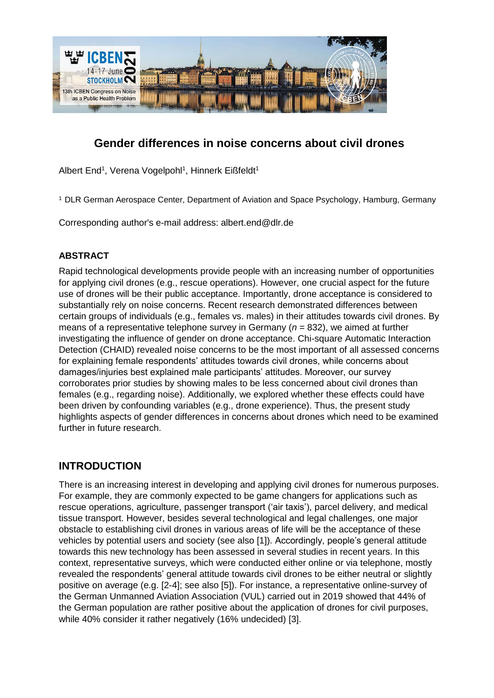

# **Gender differences in noise concerns about civil drones**

Albert End<sup>1</sup>, Verena Vogelpohl<sup>1</sup>, Hinnerk Eißfeldt<sup>1</sup>

<sup>1</sup> DLR German Aerospace Center, Department of Aviation and Space Psychology, Hamburg, Germany

Corresponding author's e-mail address: albert.end@dlr.de

### **ABSTRACT**

Rapid technological developments provide people with an increasing number of opportunities for applying civil drones (e.g., rescue operations). However, one crucial aspect for the future use of drones will be their public acceptance. Importantly, drone acceptance is considered to substantially rely on noise concerns. Recent research demonstrated differences between certain groups of individuals (e.g., females vs. males) in their attitudes towards civil drones. By means of a representative telephone survey in Germany (*n* = 832), we aimed at further investigating the influence of gender on drone acceptance. Chi-square Automatic Interaction Detection (CHAID) revealed noise concerns to be the most important of all assessed concerns for explaining female respondents' attitudes towards civil drones, while concerns about damages/injuries best explained male participants' attitudes. Moreover, our survey corroborates prior studies by showing males to be less concerned about civil drones than females (e.g., regarding noise). Additionally, we explored whether these effects could have been driven by confounding variables (e.g., drone experience). Thus, the present study highlights aspects of gender differences in concerns about drones which need to be examined further in future research.

### **INTRODUCTION**

There is an increasing interest in developing and applying civil drones for numerous purposes. For example, they are commonly expected to be game changers for applications such as rescue operations, agriculture, passenger transport ('air taxis'), parcel delivery, and medical tissue transport. However, besides several technological and legal challenges, one major obstacle to establishing civil drones in various areas of life will be the acceptance of these vehicles by potential users and society (see also [1]). Accordingly, people's general attitude towards this new technology has been assessed in several studies in recent years. In this context, representative surveys, which were conducted either online or via telephone, mostly revealed the respondents' general attitude towards civil drones to be either neutral or slightly positive on average (e.g. [2-4]; see also [5]). For instance, a representative online-survey of the German Unmanned Aviation Association (VUL) carried out in 2019 showed that 44% of the German population are rather positive about the application of drones for civil purposes, while 40% consider it rather negatively (16% undecided) [3].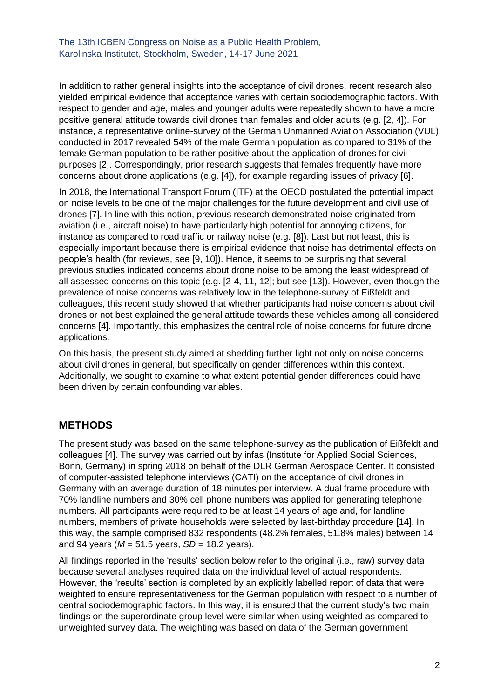In addition to rather general insights into the acceptance of civil drones, recent research also yielded empirical evidence that acceptance varies with certain sociodemographic factors. With respect to gender and age, males and younger adults were repeatedly shown to have a more positive general attitude towards civil drones than females and older adults (e.g. [2, 4]). For instance, a representative online-survey of the German Unmanned Aviation Association (VUL) conducted in 2017 revealed 54% of the male German population as compared to 31% of the female German population to be rather positive about the application of drones for civil purposes [2]. Correspondingly, prior research suggests that females frequently have more concerns about drone applications (e.g. [4]), for example regarding issues of privacy [6].

In 2018, the International Transport Forum (ITF) at the OECD postulated the potential impact on noise levels to be one of the major challenges for the future development and civil use of drones [7]. In line with this notion, previous research demonstrated noise originated from aviation (i.e., aircraft noise) to have particularly high potential for annoying citizens, for instance as compared to road traffic or railway noise (e.g. [8]). Last but not least, this is especially important because there is empirical evidence that noise has detrimental effects on people's health (for reviews, see [9, 10]). Hence, it seems to be surprising that several previous studies indicated concerns about drone noise to be among the least widespread of all assessed concerns on this topic (e.g. [2-4, 11, 12]; but see [13]). However, even though the prevalence of noise concerns was relatively low in the telephone-survey of Eißfeldt and colleagues, this recent study showed that whether participants had noise concerns about civil drones or not best explained the general attitude towards these vehicles among all considered concerns [4]. Importantly, this emphasizes the central role of noise concerns for future drone applications.

On this basis, the present study aimed at shedding further light not only on noise concerns about civil drones in general, but specifically on gender differences within this context. Additionally, we sought to examine to what extent potential gender differences could have been driven by certain confounding variables.

# **METHODS**

The present study was based on the same telephone-survey as the publication of Eißfeldt and colleagues [4]. The survey was carried out by infas (Institute for Applied Social Sciences, Bonn, Germany) in spring 2018 on behalf of the DLR German Aerospace Center. It consisted of computer-assisted telephone interviews (CATI) on the acceptance of civil drones in Germany with an average duration of 18 minutes per interview. A dual frame procedure with 70% landline numbers and 30% cell phone numbers was applied for generating telephone numbers. All participants were required to be at least 14 years of age and, for landline numbers, members of private households were selected by last-birthday procedure [14]. In this way, the sample comprised 832 respondents (48.2% females, 51.8% males) between 14 and 94 years ( $M = 51.5$  years,  $SD = 18.2$  years).

All findings reported in the 'results' section below refer to the original (i.e., raw) survey data because several analyses required data on the individual level of actual respondents. However, the 'results' section is completed by an explicitly labelled report of data that were weighted to ensure representativeness for the German population with respect to a number of central sociodemographic factors. In this way, it is ensured that the current study's two main findings on the superordinate group level were similar when using weighted as compared to unweighted survey data. The weighting was based on data of the German government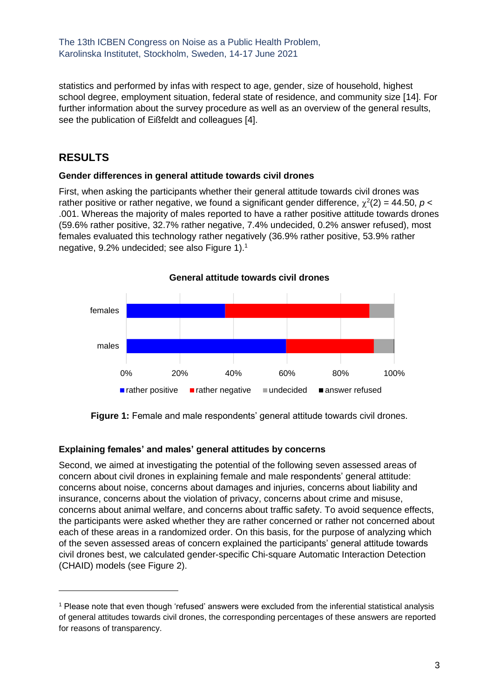statistics and performed by infas with respect to age, gender, size of household, highest school degree, employment situation, federal state of residence, and community size [14]. For further information about the survey procedure as well as an overview of the general results, see the publication of Eißfeldt and colleagues [4].

## **RESULTS**

#### **Gender differences in general attitude towards civil drones**

First, when asking the participants whether their general attitude towards civil drones was rather positive or rather negative, we found a significant gender difference,  $\chi^2(2) = 44.50$ ,  $p <$ .001. Whereas the majority of males reported to have a rather positive attitude towards drones (59.6% rather positive, 32.7% rather negative, 7.4% undecided, 0.2% answer refused), most females evaluated this technology rather negatively (36.9% rather positive, 53.9% rather negative, 9.2% undecided; see also Figure 1).<sup>1</sup>



**Figure 1:** Female and male respondents' general attitude towards civil drones.

#### **Explaining females' and males' general attitudes by concerns**

Second, we aimed at investigating the potential of the following seven assessed areas of concern about civil drones in explaining female and male respondents' general attitude: concerns about noise, concerns about damages and injuries, concerns about liability and insurance, concerns about the violation of privacy, concerns about crime and misuse, concerns about animal welfare, and concerns about traffic safety. To avoid sequence effects, the participants were asked whether they are rather concerned or rather not concerned about each of these areas in a randomized order. On this basis, for the purpose of analyzing which of the seven assessed areas of concern explained the participants' general attitude towards civil drones best, we calculated gender-specific Chi-square Automatic Interaction Detection (CHAID) models (see Figure 2).

<sup>1</sup> Please note that even though 'refused' answers were excluded from the inferential statistical analysis of general attitudes towards civil drones, the corresponding percentages of these answers are reported for reasons of transparency.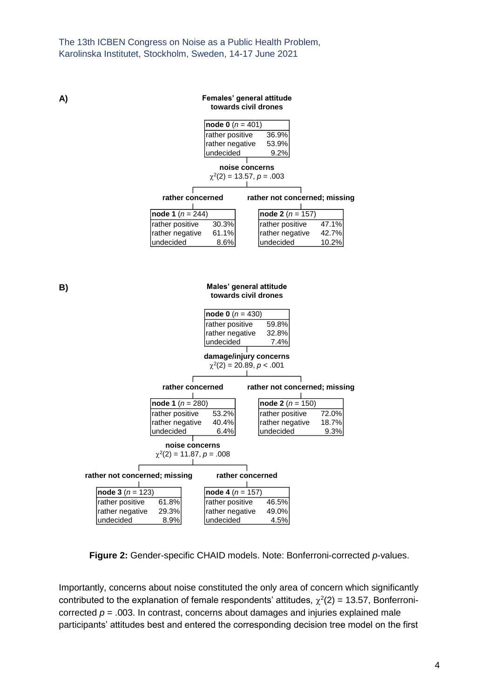**A)**

#### **Females' general attitude towards civil drones**

| <b>node 0</b> ( $n = 401$ ) |       |  |  |
|-----------------------------|-------|--|--|
| rather positive             | 36.9% |  |  |
| rather negative             | 53.9% |  |  |
| undecided                   | 9.2%  |  |  |

**noise concerns**

|                      | $\chi^2(2) = 13.57, p = .003$ |
|----------------------|-------------------------------|
| rather concerned     | rather not concerned; missing |
|                      |                               |
| $ node 1 (n = 244) $ | $ node 2 (n = 157) $          |
| Irothor pooitivo     | $rothor$ no $ith$             |

rather positive 30.3%<br>rather negative 61.1% rather negative 61.1%<br>undecided 8.6%  $\vert$ undecided rather positive 47.1%<br>rather negative 42.7% rather negative 42.7%<br>undecided 10.2%  $|$ undecided

**B)**

#### **Males' general attitude towards civil drones**

|                                                   | <b>node 0</b> ( $n = 430$ ) |                               |       |  |  |
|---------------------------------------------------|-----------------------------|-------------------------------|-------|--|--|
|                                                   | rather positive             | 59.8%                         |       |  |  |
|                                                   | rather negative             | 32.8%                         |       |  |  |
|                                                   | undecided                   | 7.4%                          |       |  |  |
|                                                   |                             | damage/injury concerns        |       |  |  |
| $\chi^2(2) = 20.89, p < .001$                     |                             |                               |       |  |  |
|                                                   |                             |                               |       |  |  |
|                                                   | rather concerned            | rather not concerned; missing |       |  |  |
|                                                   |                             |                               |       |  |  |
| node 1 $(n = 280)$                                |                             | node 2 ( $n = 150$ )          |       |  |  |
| rather positive                                   | 53.2%                       | rather positive               | 72.0% |  |  |
| rather negative                                   | 40.4%                       | rather negative               | 18.7% |  |  |
| undecided                                         | 6.4%                        | undecided                     | 9.3%  |  |  |
| noise concerns                                    |                             |                               |       |  |  |
| $\chi^2(2) = 11.87, p = .008$                     |                             |                               |       |  |  |
|                                                   |                             |                               |       |  |  |
| rather not concerned; missing<br>rather concerned |                             |                               |       |  |  |
|                                                   |                             |                               |       |  |  |
| <b>node 3</b> $(n = 123)$                         | <b>node 4</b> ( $n = 157$ ) |                               |       |  |  |
| 61.8%<br>rather positive                          | rather positive             | 46.5%                         |       |  |  |
| rather negative<br>29.3%                          | rather negative             | 49.0%                         |       |  |  |
| undecided<br>8.9%                                 | undecided                   | 4.5%                          |       |  |  |

**Figure 2:** Gender-specific CHAID models. Note: Bonferroni-corrected *p*-values.

Importantly, concerns about noise constituted the only area of concern which significantly contributed to the explanation of female respondents' attitudes,  $\chi^2(2)$  = 13.57, Bonferronicorrected  $p = 0.003$ . In contrast, concerns about damages and injuries explained male participants' attitudes best and entered the corresponding decision tree model on the first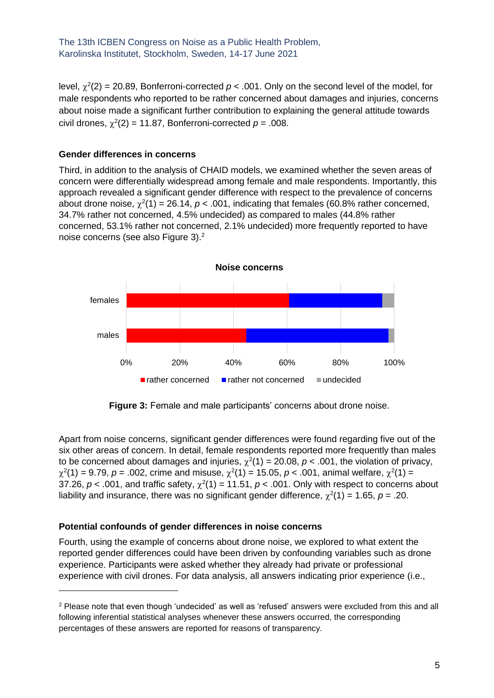level,  $\chi^2(2)$  = 20.89, Bonferroni-corrected  $p < .001$ . Only on the second level of the model, for male respondents who reported to be rather concerned about damages and injuries, concerns about noise made a significant further contribution to explaining the general attitude towards civil drones,  $\chi^2(2) = 11.87$ , Bonferroni-corrected  $p = .008$ .

#### **Gender differences in concerns**

Third, in addition to the analysis of CHAID models, we examined whether the seven areas of concern were differentially widespread among female and male respondents. Importantly, this approach revealed a significant gender difference with respect to the prevalence of concerns about drone noise,  $\chi^2(1) = 26.14$ ,  $p < .001$ , indicating that females (60.8% rather concerned, 34.7% rather not concerned, 4.5% undecided) as compared to males (44.8% rather concerned, 53.1% rather not concerned, 2.1% undecided) more frequently reported to have noise concerns (see also Figure 3). $<sup>2</sup>$ </sup>



**Figure 3:** Female and male participants' concerns about drone noise.

Apart from noise concerns, significant gender differences were found regarding five out of the six other areas of concern. In detail, female respondents reported more frequently than males to be concerned about damages and injuries,  $\chi^2(1) = 20.08$ ,  $p < .001$ , the violation of privacy,  $\chi^2(1) = 9.79$ ,  $p = .002$ , crime and misuse,  $\chi^2(1) = 15.05$ ,  $p < .001$ , animal welfare,  $\chi^2(1) =$ 37.26,  $p < .001$ , and traffic safety,  $\chi^2(1) = 11.51$ ,  $p < .001$ . Only with respect to concerns about liability and insurance, there was no significant gender difference,  $\chi^2(1) = 1.65$ ,  $p = .20$ .

#### **Potential confounds of gender differences in noise concerns**

Fourth, using the example of concerns about drone noise, we explored to what extent the reported gender differences could have been driven by confounding variables such as drone experience. Participants were asked whether they already had private or professional experience with civil drones. For data analysis, all answers indicating prior experience (i.e.,

<sup>2</sup> Please note that even though 'undecided' as well as 'refused' answers were excluded from this and all following inferential statistical analyses whenever these answers occurred, the corresponding percentages of these answers are reported for reasons of transparency.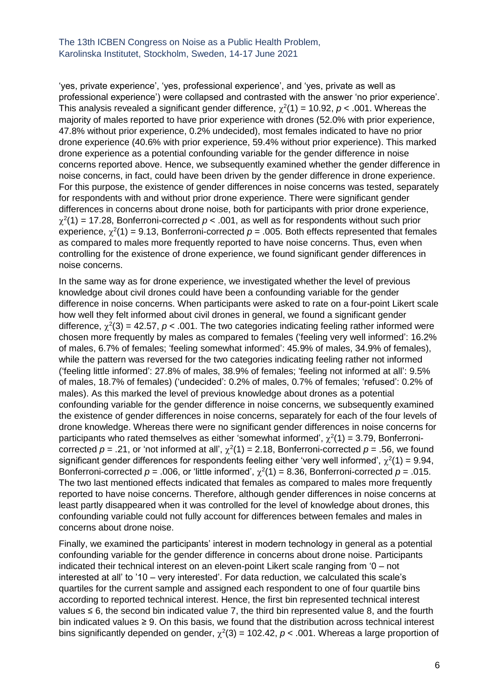'yes, private experience', 'yes, professional experience', and 'yes, private as well as professional experience') were collapsed and contrasted with the answer 'no prior experience'. This analysis revealed a significant gender difference,  $\chi^2(1) = 10.92$ ,  $p < .001$ . Whereas the majority of males reported to have prior experience with drones (52.0% with prior experience, 47.8% without prior experience, 0.2% undecided), most females indicated to have no prior drone experience (40.6% with prior experience, 59.4% without prior experience). This marked drone experience as a potential confounding variable for the gender difference in noise concerns reported above. Hence, we subsequently examined whether the gender difference in noise concerns, in fact, could have been driven by the gender difference in drone experience. For this purpose, the existence of gender differences in noise concerns was tested, separately for respondents with and without prior drone experience. There were significant gender differences in concerns about drone noise, both for participants with prior drone experience,  $\chi^2(1)$  = 17.28, Bonferroni-corrected  $p < .001$ , as well as for respondents without such prior experience,  $\chi^2(1)$  = 9.13, Bonferroni-corrected  $p$  = .005. Both effects represented that females as compared to males more frequently reported to have noise concerns. Thus, even when controlling for the existence of drone experience, we found significant gender differences in noise concerns.

In the same way as for drone experience, we investigated whether the level of previous knowledge about civil drones could have been a confounding variable for the gender difference in noise concerns. When participants were asked to rate on a four-point Likert scale how well they felt informed about civil drones in general, we found a significant gender difference,  $\chi^2(3)$  = 42.57,  $p < .001$ . The two categories indicating feeling rather informed were chosen more frequently by males as compared to females ('feeling very well informed': 16.2% of males, 6.7% of females; 'feeling somewhat informed': 45.9% of males, 34.9% of females), while the pattern was reversed for the two categories indicating feeling rather not informed ('feeling little informed': 27.8% of males, 38.9% of females; 'feeling not informed at all': 9.5% of males, 18.7% of females) ('undecided': 0.2% of males, 0.7% of females; 'refused': 0.2% of males). As this marked the level of previous knowledge about drones as a potential confounding variable for the gender difference in noise concerns, we subsequently examined the existence of gender differences in noise concerns, separately for each of the four levels of drone knowledge. Whereas there were no significant gender differences in noise concerns for participants who rated themselves as either 'somewhat informed',  $\chi^2(1) = 3.79$ , Bonferronicorrected  $p = .21$ , or 'not informed at all',  $\chi^2(1) = 2.18$ , Bonferroni-corrected  $p = .56$ , we found significant gender differences for respondents feeling either 'very well informed',  $\chi^2(1) = 9.94$ , Bonferroni-corrected  $p = .006$ , or 'little informed',  $\chi^2(1) = 8.36$ , Bonferroni-corrected  $p = .015$ . The two last mentioned effects indicated that females as compared to males more frequently reported to have noise concerns. Therefore, although gender differences in noise concerns at least partly disappeared when it was controlled for the level of knowledge about drones, this confounding variable could not fully account for differences between females and males in concerns about drone noise.

Finally, we examined the participants' interest in modern technology in general as a potential confounding variable for the gender difference in concerns about drone noise. Participants indicated their technical interest on an eleven-point Likert scale ranging from '0 – not interested at all' to '10 – very interested'. For data reduction, we calculated this scale's quartiles for the current sample and assigned each respondent to one of four quartile bins according to reported technical interest. Hence, the first bin represented technical interest values  $\leq 6$ , the second bin indicated value 7, the third bin represented value 8, and the fourth bin indicated values ≥ 9. On this basis, we found that the distribution across technical interest bins significantly depended on gender,  $\chi^2(3) = 102.42$ ,  $p < .001$ . Whereas a large proportion of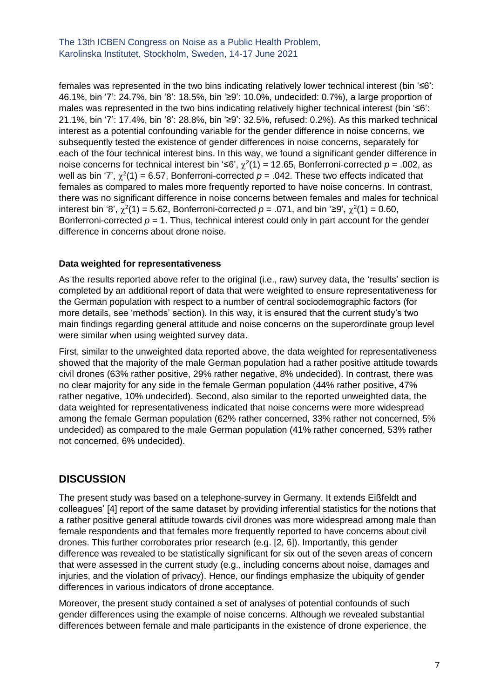females was represented in the two bins indicating relatively lower technical interest (bin '≤6': 46.1%, bin '7': 24.7%, bin '8': 18.5%, bin '≥9': 10.0%, undecided: 0.7%), a large proportion of males was represented in the two bins indicating relatively higher technical interest (bin '≤6': 21.1%, bin '7': 17.4%, bin '8': 28.8%, bin '≥9': 32.5%, refused: 0.2%). As this marked technical interest as a potential confounding variable for the gender difference in noise concerns, we subsequently tested the existence of gender differences in noise concerns, separately for each of the four technical interest bins. In this way, we found a significant gender difference in noise concerns for technical interest bin '≤6',  $\chi^2(1)$  = 12.65, Bonferroni-corrected  $p = .002$ , as well as bin '7',  $\chi^2(1)$  = 6.57, Bonferroni-corrected  $p$  = .042. These two effects indicated that females as compared to males more frequently reported to have noise concerns. In contrast, there was no significant difference in noise concerns between females and males for technical interest bin '8',  $\chi^2(1)$  = 5.62, Bonferroni-corrected *p* = .071, and bin '≥9',  $\chi^2(1)$  = 0.60, Bonferroni-corrected  $p = 1$ . Thus, technical interest could only in part account for the gender difference in concerns about drone noise.

#### **Data weighted for representativeness**

As the results reported above refer to the original (i.e., raw) survey data, the 'results' section is completed by an additional report of data that were weighted to ensure representativeness for the German population with respect to a number of central sociodemographic factors (for more details, see 'methods' section). In this way, it is ensured that the current study's two main findings regarding general attitude and noise concerns on the superordinate group level were similar when using weighted survey data.

First, similar to the unweighted data reported above, the data weighted for representativeness showed that the majority of the male German population had a rather positive attitude towards civil drones (63% rather positive, 29% rather negative, 8% undecided). In contrast, there was no clear majority for any side in the female German population (44% rather positive, 47% rather negative, 10% undecided). Second, also similar to the reported unweighted data, the data weighted for representativeness indicated that noise concerns were more widespread among the female German population (62% rather concerned, 33% rather not concerned, 5% undecided) as compared to the male German population (41% rather concerned, 53% rather not concerned, 6% undecided).

### **DISCUSSION**

The present study was based on a telephone-survey in Germany. It extends Eißfeldt and colleagues' [4] report of the same dataset by providing inferential statistics for the notions that a rather positive general attitude towards civil drones was more widespread among male than female respondents and that females more frequently reported to have concerns about civil drones. This further corroborates prior research (e.g. [2, 6]). Importantly, this gender difference was revealed to be statistically significant for six out of the seven areas of concern that were assessed in the current study (e.g., including concerns about noise, damages and injuries, and the violation of privacy). Hence, our findings emphasize the ubiquity of gender differences in various indicators of drone acceptance.

Moreover, the present study contained a set of analyses of potential confounds of such gender differences using the example of noise concerns. Although we revealed substantial differences between female and male participants in the existence of drone experience, the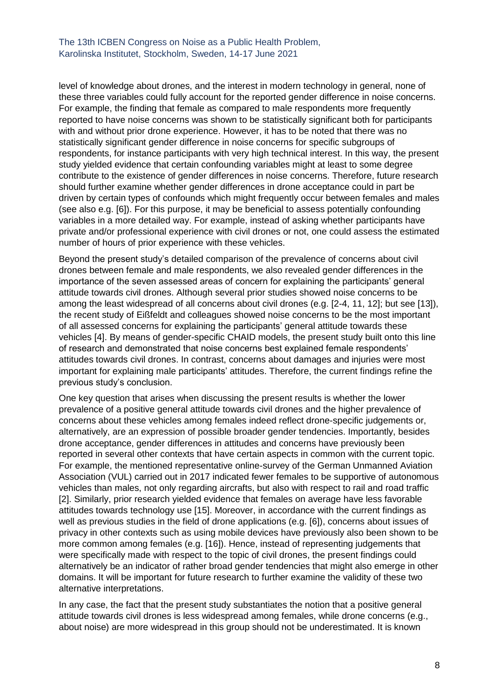level of knowledge about drones, and the interest in modern technology in general, none of these three variables could fully account for the reported gender difference in noise concerns. For example, the finding that female as compared to male respondents more frequently reported to have noise concerns was shown to be statistically significant both for participants with and without prior drone experience. However, it has to be noted that there was no statistically significant gender difference in noise concerns for specific subgroups of respondents, for instance participants with very high technical interest. In this way, the present study yielded evidence that certain confounding variables might at least to some degree contribute to the existence of gender differences in noise concerns. Therefore, future research should further examine whether gender differences in drone acceptance could in part be driven by certain types of confounds which might frequently occur between females and males (see also e.g. [6]). For this purpose, it may be beneficial to assess potentially confounding variables in a more detailed way. For example, instead of asking whether participants have private and/or professional experience with civil drones or not, one could assess the estimated number of hours of prior experience with these vehicles.

Beyond the present study's detailed comparison of the prevalence of concerns about civil drones between female and male respondents, we also revealed gender differences in the importance of the seven assessed areas of concern for explaining the participants' general attitude towards civil drones. Although several prior studies showed noise concerns to be among the least widespread of all concerns about civil drones (e.g. [2-4, 11, 12]; but see [13]), the recent study of Eißfeldt and colleagues showed noise concerns to be the most important of all assessed concerns for explaining the participants' general attitude towards these vehicles [4]. By means of gender-specific CHAID models, the present study built onto this line of research and demonstrated that noise concerns best explained female respondents' attitudes towards civil drones. In contrast, concerns about damages and injuries were most important for explaining male participants' attitudes. Therefore, the current findings refine the previous study's conclusion.

One key question that arises when discussing the present results is whether the lower prevalence of a positive general attitude towards civil drones and the higher prevalence of concerns about these vehicles among females indeed reflect drone-specific judgements or, alternatively, are an expression of possible broader gender tendencies. Importantly, besides drone acceptance, gender differences in attitudes and concerns have previously been reported in several other contexts that have certain aspects in common with the current topic. For example, the mentioned representative online-survey of the German Unmanned Aviation Association (VUL) carried out in 2017 indicated fewer females to be supportive of autonomous vehicles than males, not only regarding aircrafts, but also with respect to rail and road traffic [2]. Similarly, prior research yielded evidence that females on average have less favorable attitudes towards technology use [15]. Moreover, in accordance with the current findings as well as previous studies in the field of drone applications (e.g. [6]), concerns about issues of privacy in other contexts such as using mobile devices have previously also been shown to be more common among females (e.g. [16]). Hence, instead of representing judgements that were specifically made with respect to the topic of civil drones, the present findings could alternatively be an indicator of rather broad gender tendencies that might also emerge in other domains. It will be important for future research to further examine the validity of these two alternative interpretations.

In any case, the fact that the present study substantiates the notion that a positive general attitude towards civil drones is less widespread among females, while drone concerns (e.g., about noise) are more widespread in this group should not be underestimated. It is known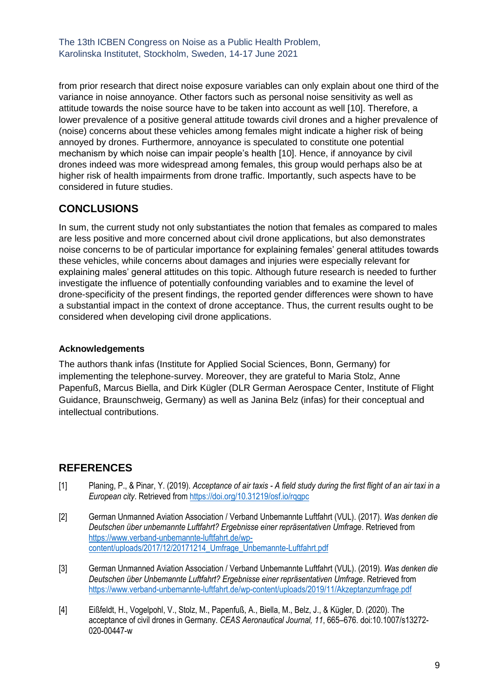from prior research that direct noise exposure variables can only explain about one third of the variance in noise annoyance. Other factors such as personal noise sensitivity as well as attitude towards the noise source have to be taken into account as well [10]. Therefore, a lower prevalence of a positive general attitude towards civil drones and a higher prevalence of (noise) concerns about these vehicles among females might indicate a higher risk of being annoyed by drones. Furthermore, annoyance is speculated to constitute one potential mechanism by which noise can impair people's health [10]. Hence, if annoyance by civil drones indeed was more widespread among females, this group would perhaps also be at higher risk of health impairments from drone traffic. Importantly, such aspects have to be considered in future studies.

## **CONCLUSIONS**

In sum, the current study not only substantiates the notion that females as compared to males are less positive and more concerned about civil drone applications, but also demonstrates noise concerns to be of particular importance for explaining females' general attitudes towards these vehicles, while concerns about damages and injuries were especially relevant for explaining males' general attitudes on this topic. Although future research is needed to further investigate the influence of potentially confounding variables and to examine the level of drone-specificity of the present findings, the reported gender differences were shown to have a substantial impact in the context of drone acceptance. Thus, the current results ought to be considered when developing civil drone applications.

### **Acknowledgements**

The authors thank infas (Institute for Applied Social Sciences, Bonn, Germany) for implementing the telephone-survey. Moreover, they are grateful to Maria Stolz, Anne Papenfuß, Marcus Biella, and Dirk Kügler (DLR German Aerospace Center, Institute of Flight Guidance, Braunschweig, Germany) as well as Janina Belz (infas) for their conceptual and intellectual contributions.

# **REFERENCES**

- [1] Planing, P., & Pinar, Y. (2019). *Acceptance of air taxis - A field study during the first flight of an air taxi in a European city*. Retrieved fro[m https://doi.org/10.31219/osf.io/rqgpc](https://doi.org/10.31219/osf.io/rqgpc)
- [2] German Unmanned Aviation Association / Verband Unbemannte Luftfahrt (VUL). (2017). *Was denken die Deutschen über unbemannte Luftfahrt? Ergebnisse einer repräsentativen Umfrage*. Retrieved from [https://www.verband-unbemannte-luftfahrt.de/wp](https://www.verband-unbemannte-luftfahrt.de/wp-content/uploads/2017/12/20171214_Umfrage_Unbemannte-Luftfahrt.pdf)[content/uploads/2017/12/20171214\\_Umfrage\\_Unbemannte-Luftfahrt.pdf](https://www.verband-unbemannte-luftfahrt.de/wp-content/uploads/2017/12/20171214_Umfrage_Unbemannte-Luftfahrt.pdf)
- [3] German Unmanned Aviation Association / Verband Unbemannte Luftfahrt (VUL). (2019). *Was denken die Deutschen über Unbemannte Luftfahrt? Ergebnisse einer repräsentativen Umfrage*. Retrieved from <https://www.verband-unbemannte-luftfahrt.de/wp-content/uploads/2019/11/Akzeptanzumfrage.pdf>
- [4] Eißfeldt, H., Vogelpohl, V., Stolz, M., Papenfuß, A., Biella, M., Belz, J., & Kügler, D. (2020). The acceptance of civil drones in Germany. *CEAS Aeronautical Journal, 11*, 665–676. doi:10.1007/s13272- 020-00447-w